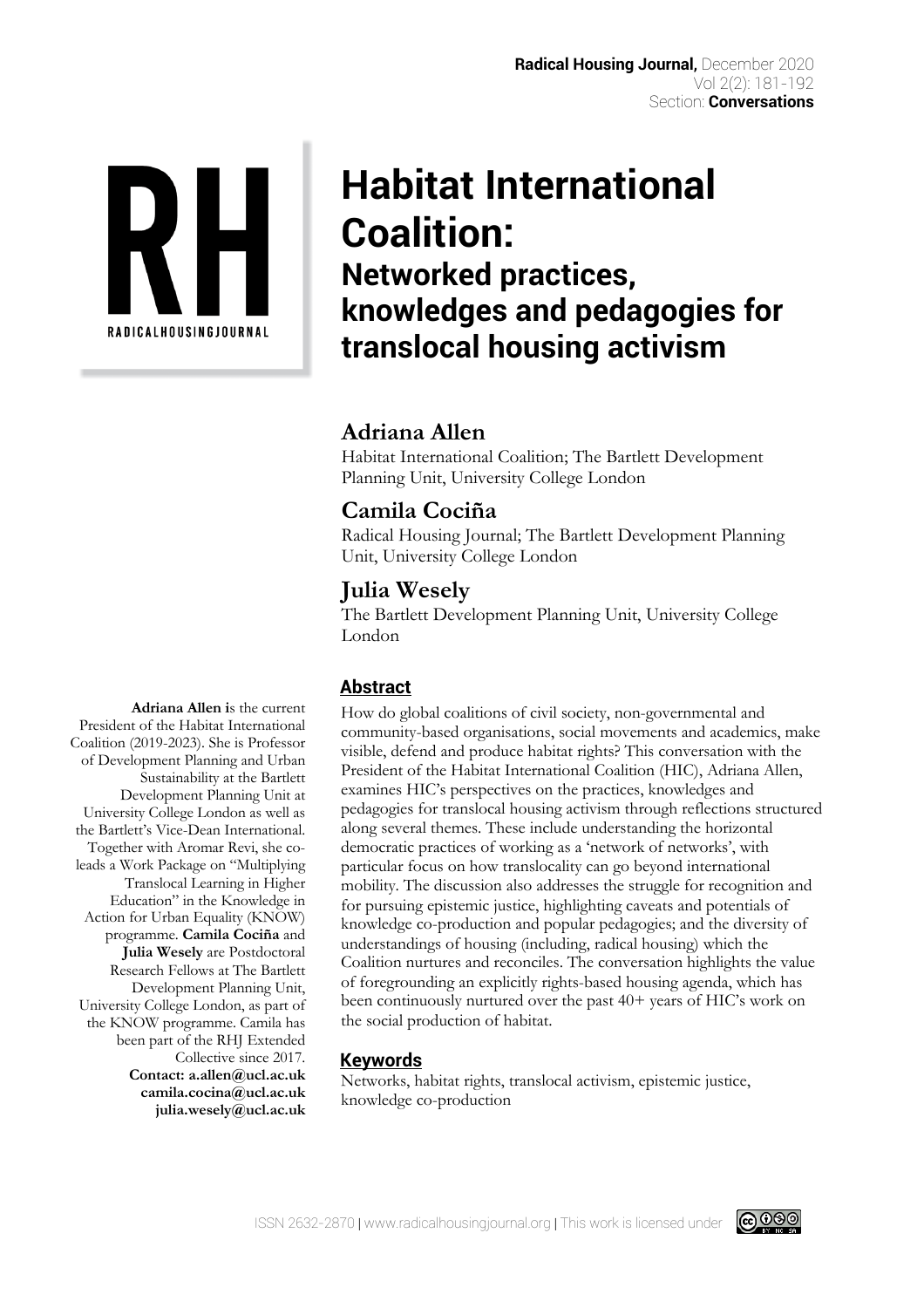

# **Habitat International Coalition: Networked practices, knowledges and pedagogies for translocal housing activism**

# **Adriana Allen**

Habitat International Coalition; The Bartlett Development Planning Unit, University College London

# **Camila Cociña**

Radical Housing Journal; The Bartlett Development Planning Unit, University College London

# **Julia Wesely**

The Bartlett Development Planning Unit, University College London

## **Abstract**

How do global coalitions of civil society, non-governmental and community-based organisations, social movements and academics, make visible, defend and produce habitat rights? This conversation with the President of the Habitat International Coalition (HIC), Adriana Allen, examines HIC's perspectives on the practices, knowledges and pedagogies for translocal housing activism through reflections structured along several themes. These include understanding the horizontal democratic practices of working as a 'network of networks', with particular focus on how translocality can go beyond international mobility. The discussion also addresses the struggle for recognition and for pursuing epistemic justice, highlighting caveats and potentials of knowledge co-production and popular pedagogies; and the diversity of understandings of housing (including, radical housing) which the Coalition nurtures and reconciles. The conversation highlights the value of foregrounding an explicitly rights-based housing agenda, which has been continuously nurtured over the past 40+ years of HIC's work on the social production of habitat.

## **Keywords**

Networks, habitat rights, translocal activism, epistemic justice, knowledge co-production

**Adriana Allen i**s the current President of the Habitat International Coalition (2019-2023). She is Professor of Development Planning and Urban Sustainability at the Bartlett Development Planning Unit at University College London as well as the Bartlett's Vice-Dean International. Together with Aromar Revi, she coleads a Work Package on "Multiplying Translocal Learning in Higher Education" in the Knowledge in Action for Urban Equality (KNOW) programme. **Camila Cociña** and **Julia Wesely** are Postdoctoral Research Fellows at The Bartlett Development Planning Unit, University College London, as part of the KNOW programme. Camila has been part of the RHJ Extended Collective since 2017. **Contact: a.allen@ucl.ac.uk camila.cocina@ucl.ac.uk julia.wesely@ucl.ac.uk**

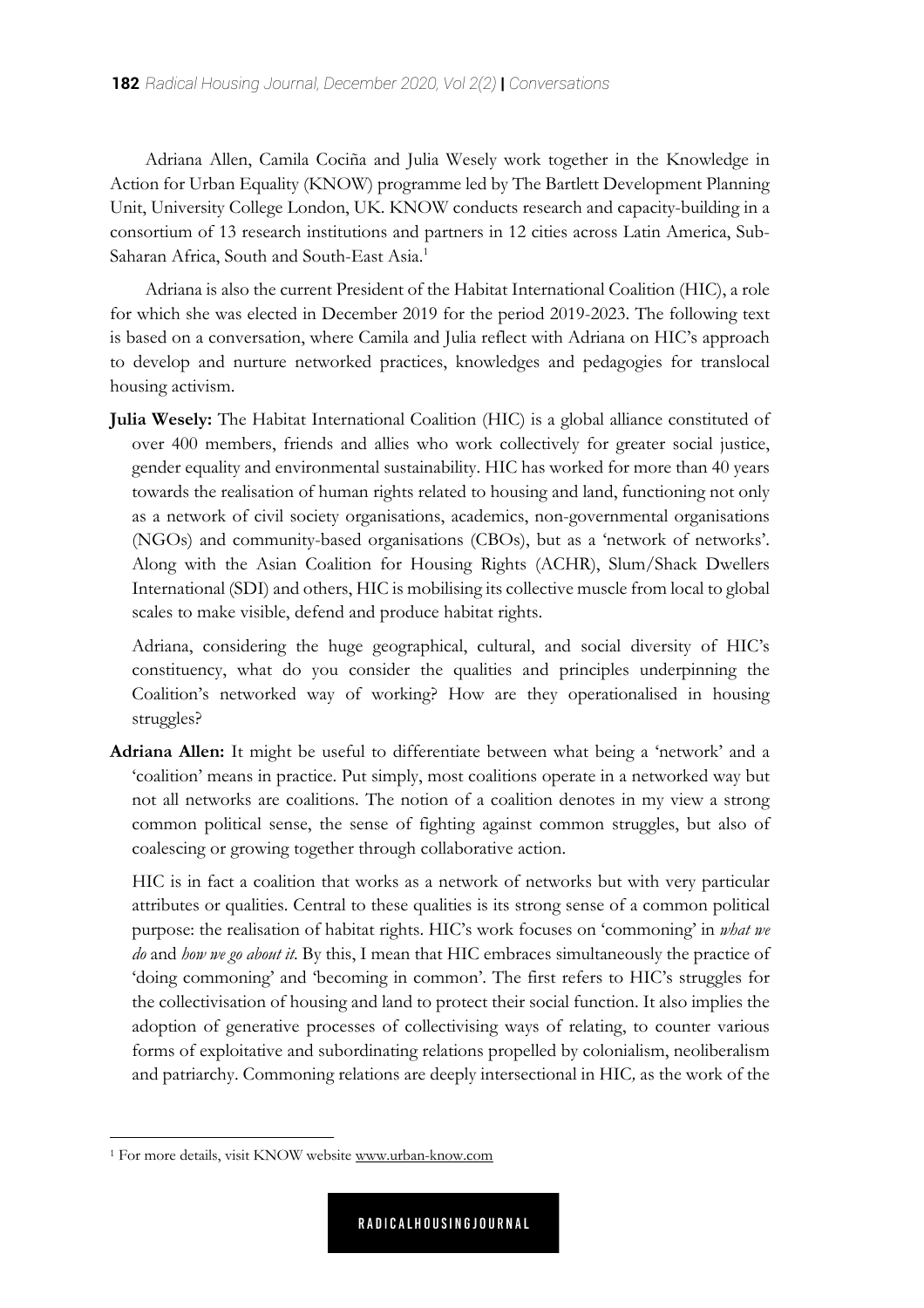Adriana Allen, Camila Cociña and Julia Wesely work together in the Knowledge in Action for Urban Equality (KNOW) programme led by The Bartlett Development Planning Unit, University College London, UK. KNOW conducts research and capacity-building in a consortium of 13 research institutions and partners in 12 cities across Latin America, Sub-Saharan Africa, South and South-East Asia.<sup>1</sup>

Adriana is also the current President of the Habitat International Coalition (HIC), a role for which she was elected in December 2019 for the period 2019-2023. The following text is based on a conversation, where Camila and Julia reflect with Adriana on HIC's approach to develop and nurture networked practices, knowledges and pedagogies for translocal housing activism.

**Julia Wesely:** The Habitat International Coalition (HIC) is a global alliance constituted of over 400 members, friends and allies who work collectively for greater social justice, gender equality and environmental sustainability. HIC has worked for more than 40 years towards the realisation of human rights related to housing and land, functioning not only as a network of civil society organisations, academics, non-governmental organisations (NGOs) and community-based organisations (CBOs), but as a 'network of networks'. Along with the Asian Coalition for Housing Rights (ACHR), Slum/Shack Dwellers International (SDI) and others, HIC is mobilising its collective muscle from local to global scales to make visible, defend and produce habitat rights.

Adriana, considering the huge geographical, cultural, and social diversity of HIC's constituency, what do you consider the qualities and principles underpinning the Coalition's networked way of working? How are they operationalised in housing struggles?

**Adriana Allen:** It might be useful to differentiate between what being a 'network' and a 'coalition' means in practice. Put simply, most coalitions operate in a networked way but not all networks are coalitions. The notion of a coalition denotes in my view a strong common political sense, the sense of fighting against common struggles, but also of coalescing or growing together through collaborative action.

HIC is in fact a coalition that works as a network of networks but with very particular attributes or qualities. Central to these qualities is its strong sense of a common political purpose: the realisation of habitat rights. HIC's work focuses on 'commoning' in *what we do* and *how we go about it*. By this, I mean that HIC embraces simultaneously the practice of 'doing commoning' and 'becoming in common'. The first refers to HIC's struggles for the collectivisation of housing and land to protect their social function. It also implies the adoption of generative processes of collectivising ways of relating, to counter various forms of exploitative and subordinating relations propelled by colonialism, neoliberalism and patriarchy. Commoning relations are deeply intersectional in HIC*,* as the work of the

<sup>1</sup> For more details, visit KNOW website www.urban-know.com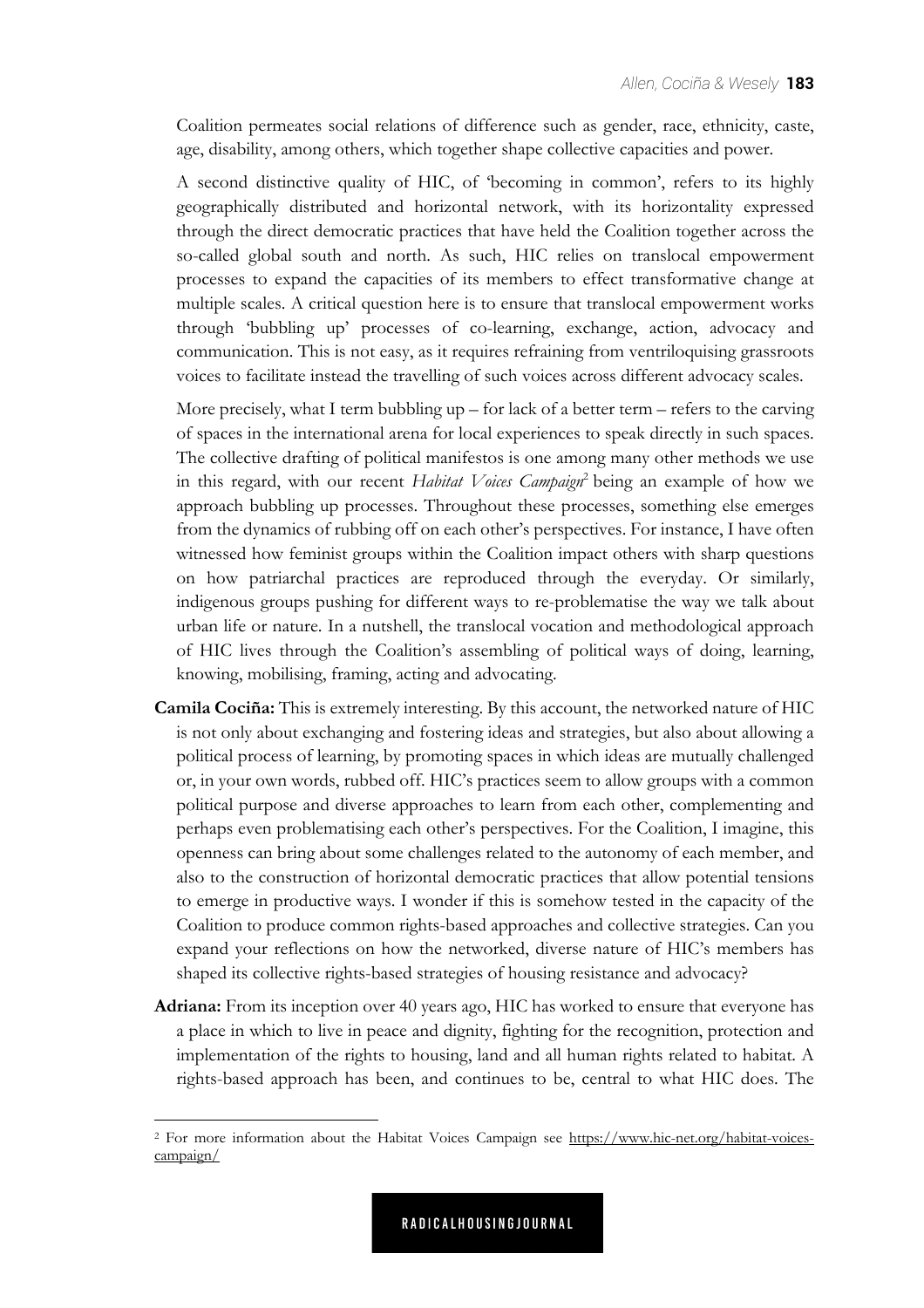Coalition permeates social relations of difference such as gender, race, ethnicity, caste, age, disability, among others, which together shape collective capacities and power.

A second distinctive quality of HIC, of 'becoming in common', refers to its highly geographically distributed and horizontal network, with its horizontality expressed through the direct democratic practices that have held the Coalition together across the so-called global south and north. As such, HIC relies on translocal empowerment processes to expand the capacities of its members to effect transformative change at multiple scales. A critical question here is to ensure that translocal empowerment works through 'bubbling up' processes of co-learning, exchange, action, advocacy and communication. This is not easy, as it requires refraining from ventriloquising grassroots voices to facilitate instead the travelling of such voices across different advocacy scales.

More precisely, what I term bubbling up – for lack of a better term – refers to the carving of spaces in the international arena for local experiences to speak directly in such spaces. The collective drafting of political manifestos is one among many other methods we use in this regard, with our recent *Habitat Voices Campaign*<sup>2</sup> being an example of how we approach bubbling up processes. Throughout these processes, something else emerges from the dynamics of rubbing off on each other's perspectives. For instance, I have often witnessed how feminist groups within the Coalition impact others with sharp questions on how patriarchal practices are reproduced through the everyday. Or similarly, indigenous groups pushing for different ways to re-problematise the way we talk about urban life or nature. In a nutshell, the translocal vocation and methodological approach of HIC lives through the Coalition's assembling of political ways of doing, learning, knowing, mobilising, framing, acting and advocating.

- **Camila Cociña:** This is extremely interesting. By this account, the networked nature of HIC is not only about exchanging and fostering ideas and strategies, but also about allowing a political process of learning, by promoting spaces in which ideas are mutually challenged or, in your own words, rubbed off. HIC's practices seem to allow groups with a common political purpose and diverse approaches to learn from each other, complementing and perhaps even problematising each other's perspectives. For the Coalition, I imagine, this openness can bring about some challenges related to the autonomy of each member, and also to the construction of horizontal democratic practices that allow potential tensions to emerge in productive ways. I wonder if this is somehow tested in the capacity of the Coalition to produce common rights-based approaches and collective strategies. Can you expand your reflections on how the networked, diverse nature of HIC's members has shaped its collective rights-based strategies of housing resistance and advocacy?
- **Adriana:** From its inception over 40 years ago, HIC has worked to ensure that everyone has a place in which to live in peace and dignity, fighting for the recognition, protection and implementation of the rights to housing, land and all human rights related to habitat. A rights-based approach has been, and continues to be, central to what HIC does. The

<sup>2</sup> [For more information about the Habitat Voices Campaign see https://www.hic-net.org/habitat-voices](https://www.hic-net.org/habitat-voicescampaign/)campaign/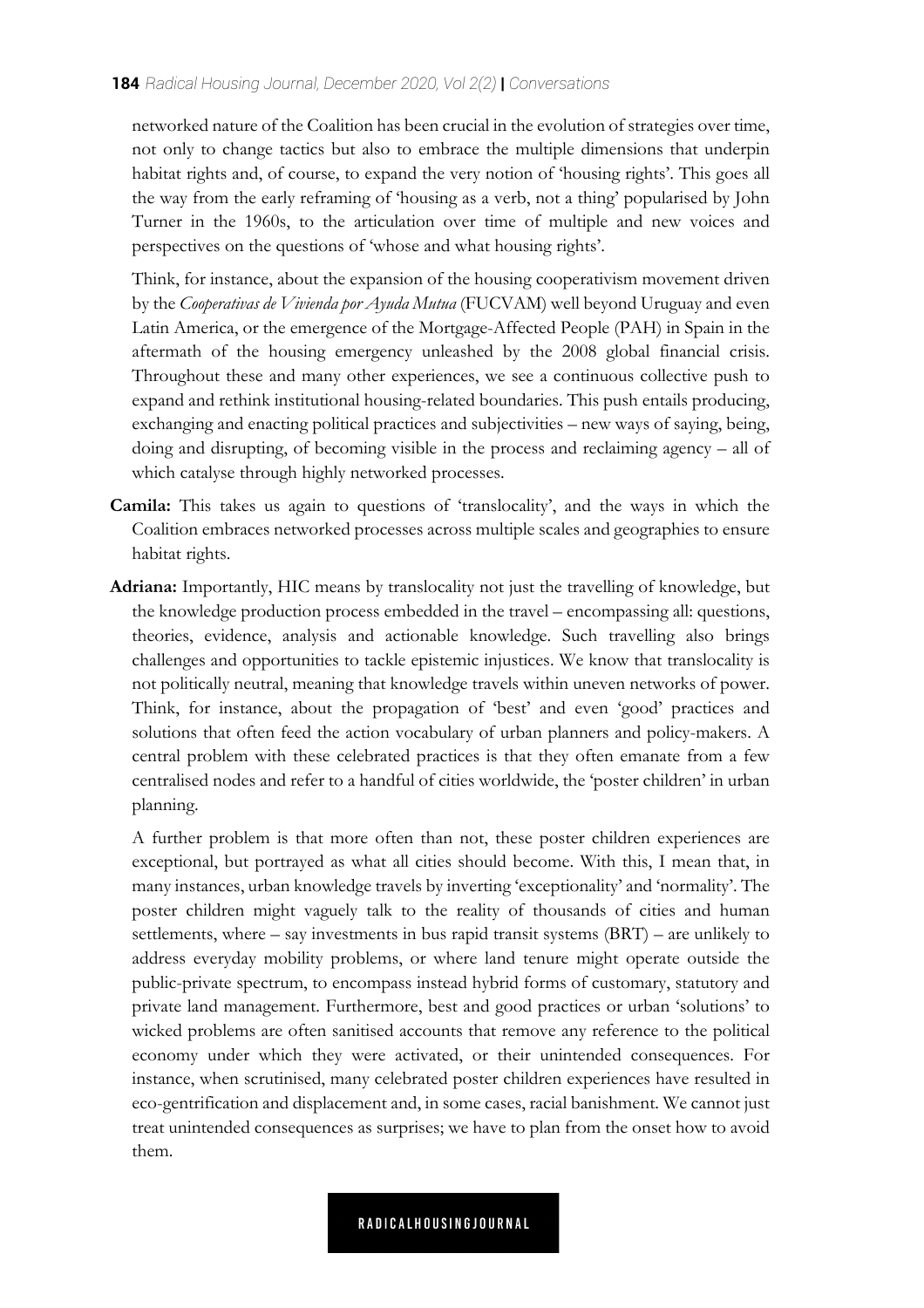networked nature of the Coalition has been crucial in the evolution of strategies over time, not only to change tactics but also to embrace the multiple dimensions that underpin habitat rights and, of course, to expand the very notion of 'housing rights'. This goes all the way from the early reframing of 'housing as a verb, not a thing' popularised by John Turner in the 1960s, to the articulation over time of multiple and new voices and perspectives on the questions of 'whose and what housing rights'.

Think, for instance, about the expansion of the housing cooperativism movement driven by the *Cooperativas de Vivienda por Ayuda Mutua* (FUCVAM) well beyond Uruguay and even Latin America, or the emergence of the Mortgage-Affected People (PAH) in Spain in the aftermath of the housing emergency unleashed by the 2008 global financial crisis. Throughout these and many other experiences, we see a continuous collective push to expand and rethink institutional housing-related boundaries. This push entails producing, exchanging and enacting political practices and subjectivities – new ways of saying, being, doing and disrupting, of becoming visible in the process and reclaiming agency – all of which catalyse through highly networked processes.

- **Camila:** This takes us again to questions of 'translocality', and the ways in which the Coalition embraces networked processes across multiple scales and geographies to ensure habitat rights.
- **Adriana:** Importantly, HIC means by translocality not just the travelling of knowledge, but the knowledge production process embedded in the travel – encompassing all: questions, theories, evidence, analysis and actionable knowledge. Such travelling also brings challenges and opportunities to tackle epistemic injustices. We know that translocality is not politically neutral, meaning that knowledge travels within uneven networks of power. Think, for instance, about the propagation of 'best' and even 'good' practices and solutions that often feed the action vocabulary of urban planners and policy-makers. A central problem with these celebrated practices is that they often emanate from a few centralised nodes and refer to a handful of cities worldwide, the 'poster children' in urban planning.

A further problem is that more often than not, these poster children experiences are exceptional, but portrayed as what all cities should become. With this, I mean that, in many instances, urban knowledge travels by inverting 'exceptionality' and 'normality'. The poster children might vaguely talk to the reality of thousands of cities and human settlements, where – say investments in bus rapid transit systems (BRT) – are unlikely to address everyday mobility problems, or where land tenure might operate outside the public-private spectrum, to encompass instead hybrid forms of customary, statutory and private land management. Furthermore, best and good practices or urban 'solutions' to wicked problems are often sanitised accounts that remove any reference to the political economy under which they were activated, or their unintended consequences. For instance, when scrutinised, many celebrated poster children experiences have resulted in eco-gentrification and displacement and, in some cases, racial banishment. We cannot just treat unintended consequences as surprises; we have to plan from the onset how to avoid them.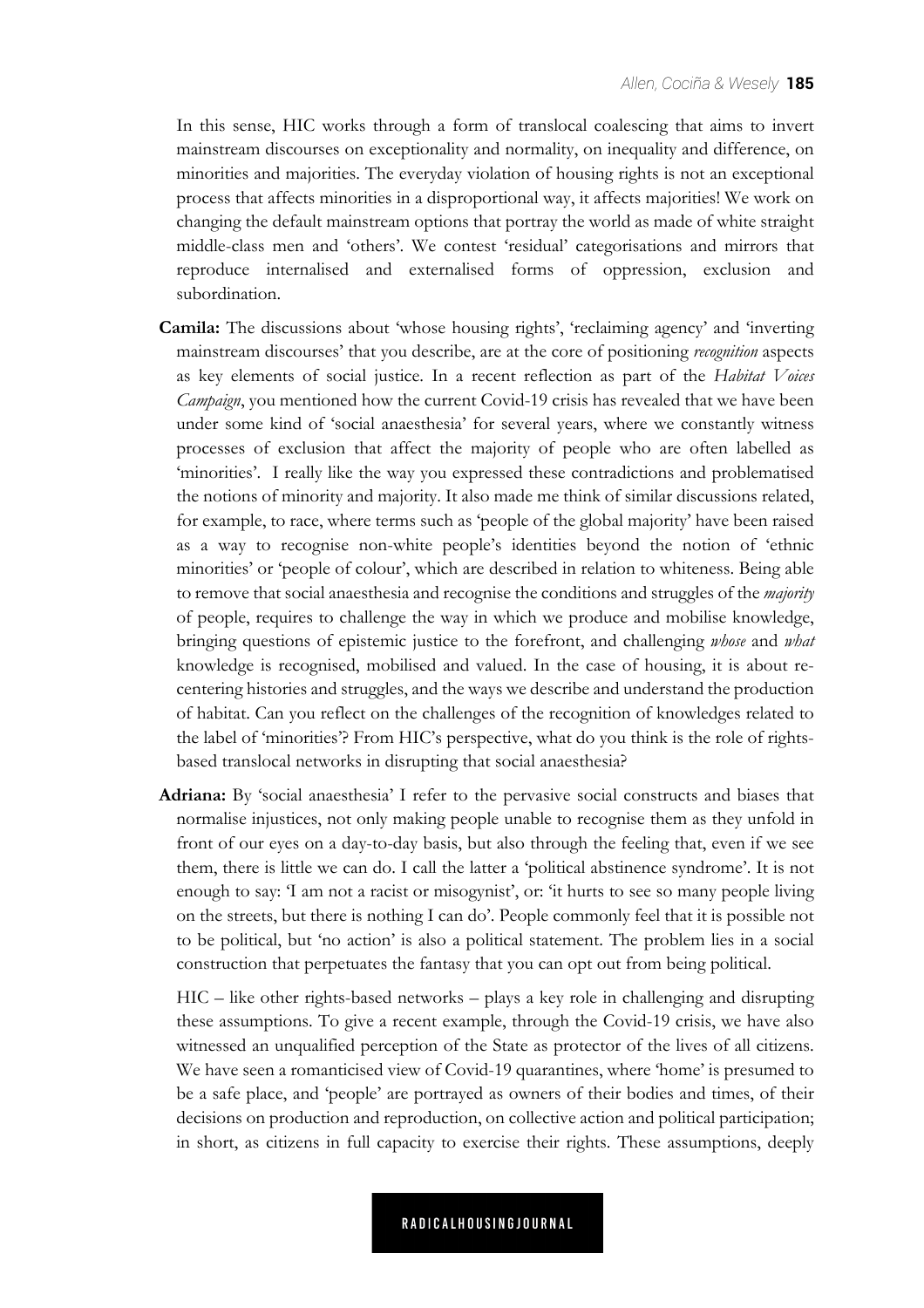In this sense, HIC works through a form of translocal coalescing that aims to invert mainstream discourses on exceptionality and normality, on inequality and difference, on minorities and majorities. The everyday violation of housing rights is not an exceptional process that affects minorities in a disproportional way, it affects majorities! We work on changing the default mainstream options that portray the world as made of white straight middle-class men and 'others'. We contest 'residual' categorisations and mirrors that reproduce internalised and externalised forms of oppression, exclusion and subordination.

- **Camila:** The discussions about 'whose housing rights', 'reclaiming agency' and 'inverting mainstream discourses' that you describe, are at the core of positioning *recognition* aspects as key elements of social justice. In a recent reflection as part of the *Habitat Voices Campaign*, you mentioned how the current Covid-19 crisis has revealed that we have been under some kind of 'social anaesthesia' for several years, where we constantly witness processes of exclusion that affect the majority of people who are often labelled as 'minorities'. I really like the way you expressed these contradictions and problematised the notions of minority and majority. It also made me think of similar discussions related, for example, to race, where terms such as 'people of the global majority' have been raised as a way to recognise non-white people's identities beyond the notion of 'ethnic minorities' or 'people of colour', which are described in relation to whiteness. Being able to remove that social anaesthesia and recognise the conditions and struggles of the *majority* of people, requires to challenge the way in which we produce and mobilise knowledge, bringing questions of epistemic justice to the forefront, and challenging *whose* and *what* knowledge is recognised, mobilised and valued. In the case of housing, it is about recentering histories and struggles, and the ways we describe and understand the production of habitat. Can you reflect on the challenges of the recognition of knowledges related to the label of 'minorities'? From HIC's perspective, what do you think is the role of rightsbased translocal networks in disrupting that social anaesthesia?
- **Adriana:** By 'social anaesthesia' I refer to the pervasive social constructs and biases that normalise injustices, not only making people unable to recognise them as they unfold in front of our eyes on a day-to-day basis, but also through the feeling that, even if we see them, there is little we can do. I call the latter a 'political abstinence syndrome'. It is not enough to say: 'I am not a racist or misogynist', or: 'it hurts to see so many people living on the streets, but there is nothing I can do'. People commonly feel that it is possible not to be political, but 'no action' is also a political statement. The problem lies in a social construction that perpetuates the fantasy that you can opt out from being political.

HIC – like other rights-based networks – plays a key role in challenging and disrupting these assumptions. To give a recent example, through the Covid-19 crisis, we have also witnessed an unqualified perception of the State as protector of the lives of all citizens. We have seen a romanticised view of Covid-19 quarantines, where 'home' is presumed to be a safe place, and 'people' are portrayed as owners of their bodies and times, of their decisions on production and reproduction, on collective action and political participation; in short, as citizens in full capacity to exercise their rights. These assumptions, deeply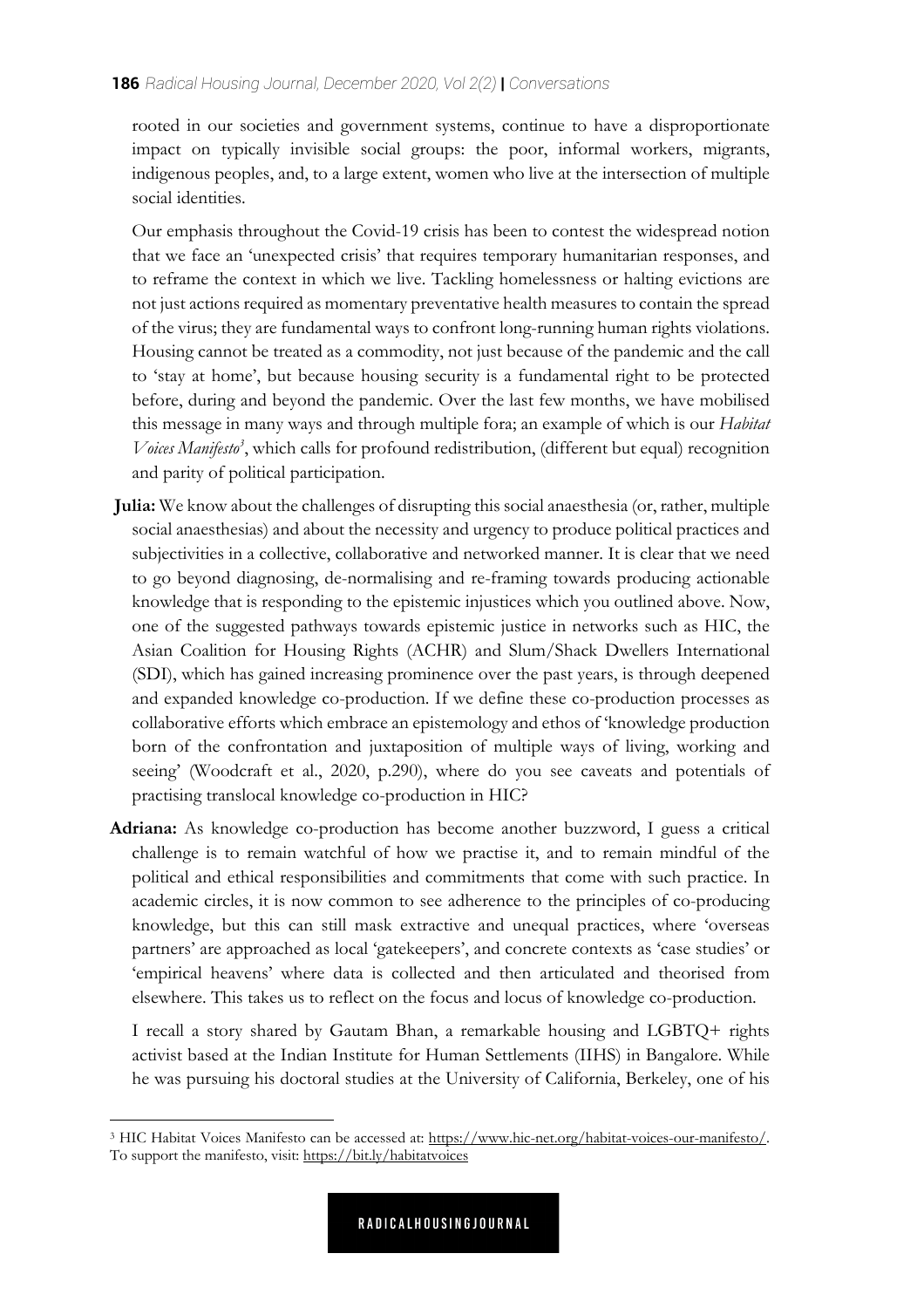rooted in our societies and government systems, continue to have a disproportionate impact on typically invisible social groups: the poor, informal workers, migrants, indigenous peoples, and, to a large extent, women who live at the intersection of multiple social identities.

Our emphasis throughout the Covid-19 crisis has been to contest the widespread notion that we face an 'unexpected crisis' that requires temporary humanitarian responses, and to reframe the context in which we live. Tackling homelessness or halting evictions are not just actions required as momentary preventative health measures to contain the spread of the virus; they are fundamental ways to confront long-running human rights violations. Housing cannot be treated as a commodity, not just because of the pandemic and the call to 'stay at home', but because housing security is a fundamental right to be protected before, during and beyond the pandemic. Over the last few months, we have mobilised this message in many ways and through multiple fora; an example of which is our *Habitat Voices Manifesto3* , which calls for profound redistribution, (different but equal) recognition and parity of political participation.

- **Julia:** We know about the challenges of disrupting this social anaesthesia (or, rather, multiple social anaesthesias) and about the necessity and urgency to produce political practices and subjectivities in a collective, collaborative and networked manner. It is clear that we need to go beyond diagnosing, de-normalising and re-framing towards producing actionable knowledge that is responding to the epistemic injustices which you outlined above. Now, one of the suggested pathways towards epistemic justice in networks such as HIC, the Asian Coalition for Housing Rights (ACHR) and Slum/Shack Dwellers International (SDI), which has gained increasing prominence over the past years, is through deepened and expanded knowledge co-production. If we define these co-production processes as collaborative efforts which embrace an epistemology and ethos of 'knowledge production born of the confrontation and juxtaposition of multiple ways of living, working and seeing' (Woodcraft et al., 2020, p.290), where do you see caveats and potentials of practising translocal knowledge co-production in HIC?
- **Adriana:** As knowledge co-production has become another buzzword, I guess a critical challenge is to remain watchful of how we practise it, and to remain mindful of the political and ethical responsibilities and commitments that come with such practice. In academic circles, it is now common to see adherence to the principles of co-producing knowledge, but this can still mask extractive and unequal practices, where 'overseas partners' are approached as local 'gatekeepers', and concrete contexts as 'case studies' or 'empirical heavens' where data is collected and then articulated and theorised from elsewhere. This takes us to reflect on the focus and locus of knowledge co-production.

I recall a story shared by Gautam Bhan, a remarkable housing and LGBTQ+ rights activist based at the Indian Institute for Human Settlements (IIHS) in Bangalore. While he was pursuing his doctoral studies at the University of California, Berkeley, one of his

<sup>3</sup> HIC Habitat Voices Manifesto can be accessed at: https://www.hic-net.org/habitat-voices-our-manifesto/. To support the manifesto, visit: https://bit.ly/habitatvoices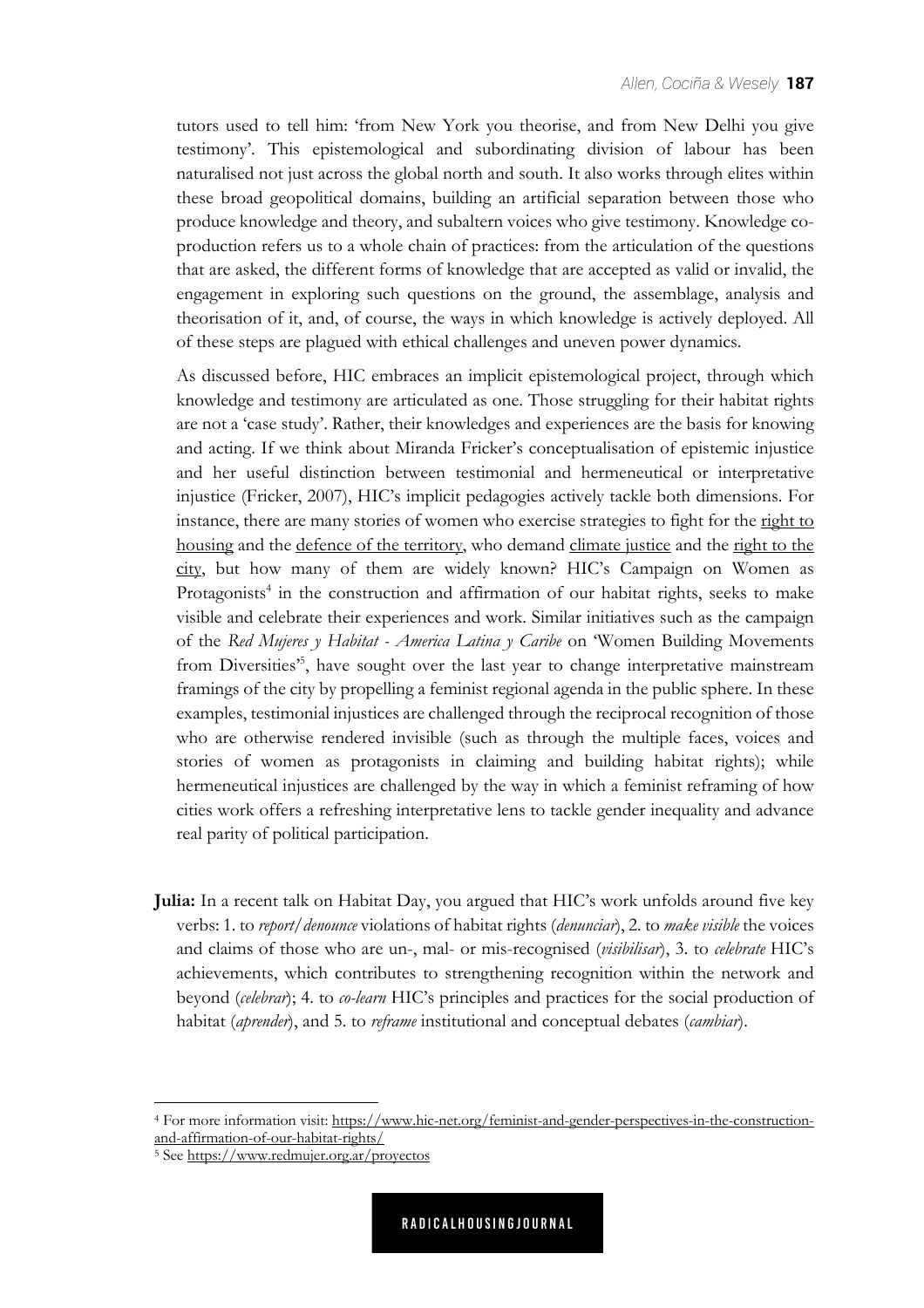tutors used to tell him: 'from New York you theorise, and from New Delhi you give testimony'. This epistemological and subordinating division of labour has been naturalised not just across the global north and south. It also works through elites within these broad geopolitical domains, building an artificial separation between those who produce knowledge and theory, and subaltern voices who give testimony. Knowledge coproduction refers us to a whole chain of practices: from the articulation of the questions that are asked, the different forms of knowledge that are accepted as valid or invalid, the engagement in exploring such questions on the ground, the assemblage, analysis and theorisation of it, and, of course, the ways in which knowledge is actively deployed. All of these steps are plagued with ethical challenges and uneven power dynamics.

As discussed before, HIC embraces an implicit epistemological project, through which knowledge and testimony are articulated as one. Those struggling for their habitat rights are not a 'case study'. Rather, their knowledges and experiences are the basis for knowing and acting. If we think about Miranda Fricker's conceptualisation of epistemic injustice and her useful distinction between testimonial and hermeneutical or interpretative injustice (Fricker, 2007), HIC's implicit pedagogies actively tackle both dimensions. For instance, there are many stories of women who exercise strategies to fight for the right to housing and the defence of the territory, who demand climate justice and the right to the city, but how many of them are widely known? HIC's Campaign on Women as Protagonists<sup>4</sup> in the construction and affirmation of our habitat rights, seeks to make visible and celebrate their experiences and work. Similar initiatives such as the campaign of the *Red Mujeres y Habitat - America Latina y Caribe* on 'Women Building Movements from Diversities<sup>55</sup>, have sought over the last year to change interpretative mainstream framings of the city by propelling a feminist regional agenda in the public sphere. In these examples, testimonial injustices are challenged through the reciprocal recognition of those who are otherwise rendered invisible (such as through the multiple faces, voices and stories of women as protagonists in claiming and building habitat rights); while hermeneutical injustices are challenged by the way in which a feminist reframing of how cities work offers a refreshing interpretative lens to tackle gender inequality and advance real parity of political participation.

**Julia:** In a recent talk on Habitat Day, you argued that HIC's work unfolds around five key verbs: 1. to *report/denounce* violations of habitat rights (*denunciar*), 2. to *make visible* the voices and claims of those who are un-, mal- or mis-recognised (*visibilisar*), 3. to *celebrate* HIC's achievements, which contributes to strengthening recognition within the network and beyond (*celebrar*); 4. to *co-learn* HIC's principles and practices for the social production of habitat (*aprender*), and 5. to *reframe* institutional and conceptual debates (*cambiar*).

<sup>4</sup> For more information visit: https://www.hic-net.org/feminist-and-gender-perspectives-in-the-constructionand-affirmation-of-our-habitat-rights/

<sup>5</sup> See https://www.redmujer.org.ar/proyectos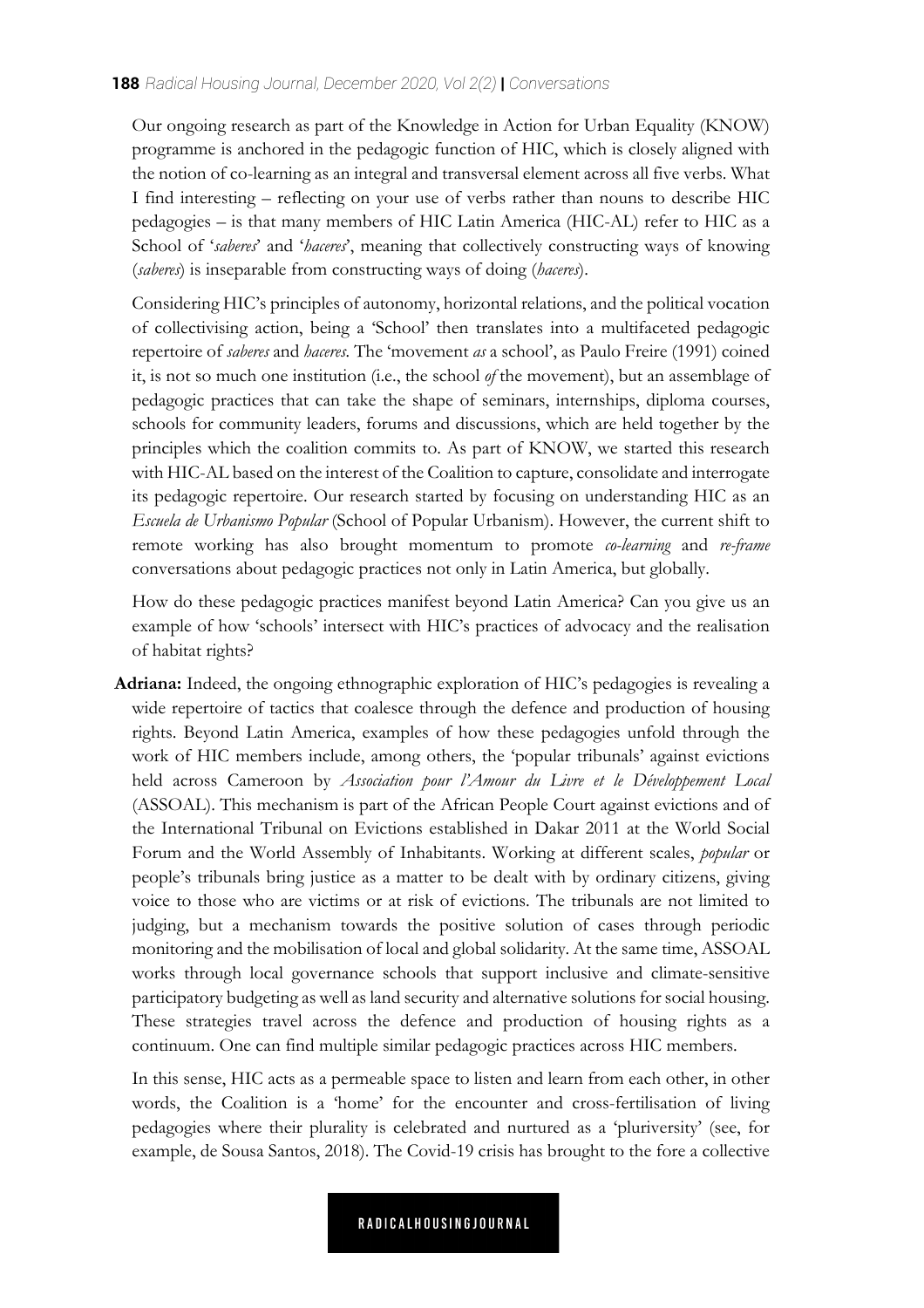## **188** *Radical Housing Journal, December 2020, Vol 2(2)* **|** *Conversations*

Our ongoing research as part of the Knowledge in Action for Urban Equality (KNOW) programme is anchored in the pedagogic function of HIC, which is closely aligned with the notion of co-learning as an integral and transversal element across all five verbs. What I find interesting – reflecting on your use of verbs rather than nouns to describe HIC pedagogies – is that many members of HIC Latin America (HIC-AL) refer to HIC as a School of '*saberes*' and '*haceres*', meaning that collectively constructing ways of knowing (*saberes*) is inseparable from constructing ways of doing (*haceres*).

Considering HIC's principles of autonomy, horizontal relations, and the political vocation of collectivising action, being a 'School' then translates into a multifaceted pedagogic repertoire of *saberes* and *haceres.* The 'movement *as* a school', as Paulo Freire (1991) coined it, is not so much one institution (i.e., the school *of* the movement), but an assemblage of pedagogic practices that can take the shape of seminars, internships, diploma courses, schools for community leaders, forums and discussions, which are held together by the principles which the coalition commits to. As part of KNOW, we started this research with HIC-AL based on the interest of the Coalition to capture, consolidate and interrogate its pedagogic repertoire. Our research started by focusing on understanding HIC as an *Escuela de Urbanismo Popular* (School of Popular Urbanism). However, the current shift to remote working has also brought momentum to promote *co-learning* and *re-frame* conversations about pedagogic practices not only in Latin America, but globally.

How do these pedagogic practices manifest beyond Latin America? Can you give us an example of how 'schools' intersect with HIC's practices of advocacy and the realisation of habitat rights?

**Adriana:** Indeed, the ongoing ethnographic exploration of HIC's pedagogies is revealing a wide repertoire of tactics that coalesce through the defence and production of housing rights. Beyond Latin America, examples of how these pedagogies unfold through the work of HIC members include, among others, the 'popular tribunals' against evictions held across Cameroon by *Association pour l'Amour du Livre et le Développement Local* (ASSOAL). This mechanism is part of the African People Court against evictions and of the International Tribunal on Evictions established in Dakar 2011 at the World Social Forum and the World Assembly of Inhabitants. Working at different scales, *popular* or people's tribunals bring justice as a matter to be dealt with by ordinary citizens, giving voice to those who are victims or at risk of evictions. The tribunals are not limited to judging, but a mechanism towards the positive solution of cases through periodic monitoring and the mobilisation of local and global solidarity. At the same time, ASSOAL works through local governance schools that support inclusive and climate-sensitive participatory budgeting as well as land security and alternative solutions for social housing. These strategies travel across the defence and production of housing rights as a continuum. One can find multiple similar pedagogic practices across HIC members.

In this sense, HIC acts as a permeable space to listen and learn from each other, in other words, the Coalition is a 'home' for the encounter and cross-fertilisation of living pedagogies where their plurality is celebrated and nurtured as a 'pluriversity' (see, for example, de Sousa Santos, 2018). The Covid-19 crisis has brought to the fore a collective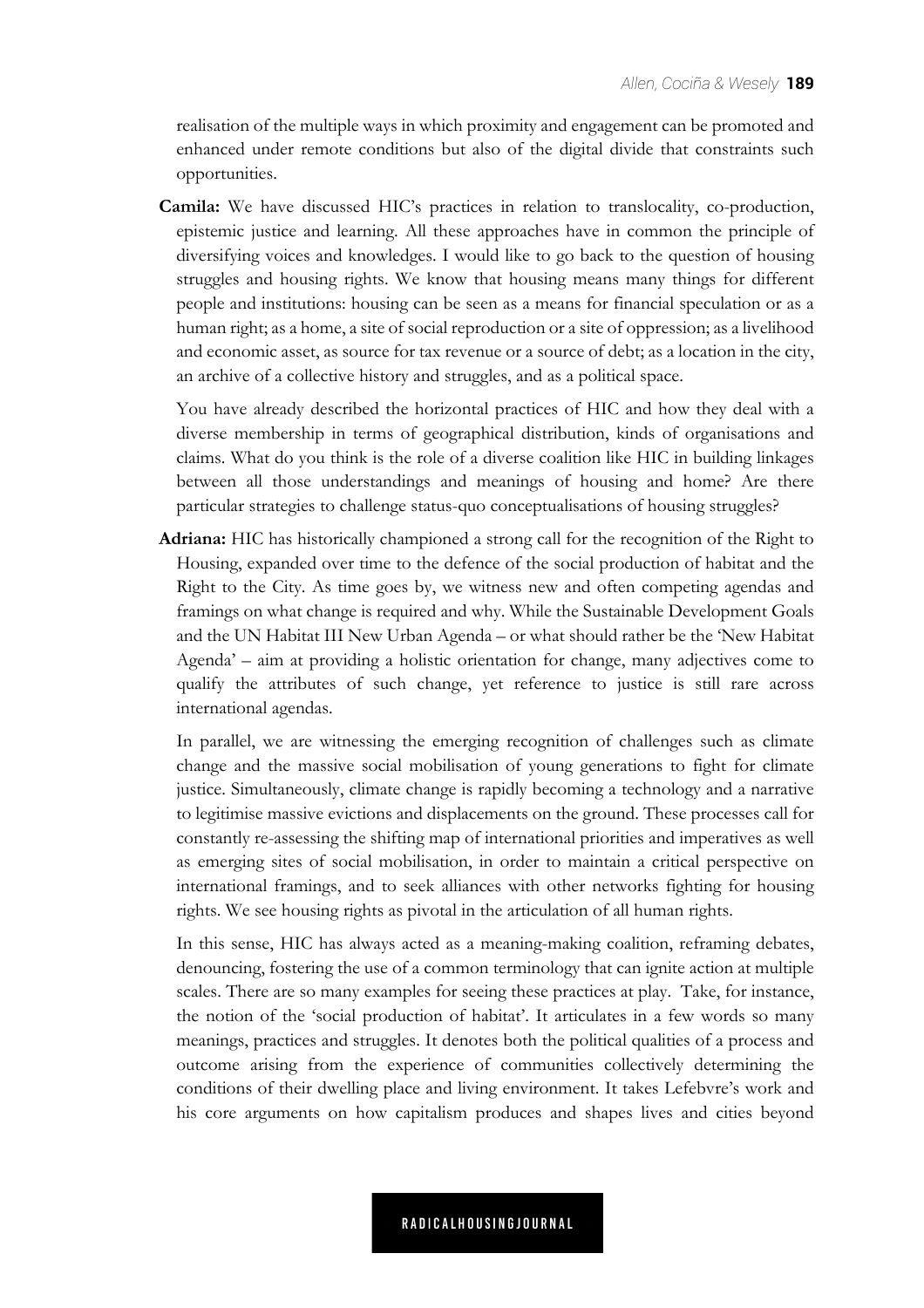realisation of the multiple ways in which proximity and engagement can be promoted and enhanced under remote conditions but also of the digital divide that constraints such opportunities.

**Camila:** We have discussed HIC's practices in relation to translocality, co-production, epistemic justice and learning. All these approaches have in common the principle of diversifying voices and knowledges. I would like to go back to the question of housing struggles and housing rights. We know that housing means many things for different people and institutions: housing can be seen as a means for financial speculation or as a human right; as a home, a site of social reproduction or a site of oppression; as a livelihood and economic asset, as source for tax revenue or a source of debt; as a location in the city, an archive of a collective history and struggles, and as a political space.

You have already described the horizontal practices of HIC and how they deal with a diverse membership in terms of geographical distribution, kinds of organisations and claims. What do you think is the role of a diverse coalition like HIC in building linkages between all those understandings and meanings of housing and home? Are there particular strategies to challenge status-quo conceptualisations of housing struggles?

**Adriana:** HIC has historically championed a strong call for the recognition of the Right to Housing, expanded over time to the defence of the social production of habitat and the Right to the City. As time goes by, we witness new and often competing agendas and framings on what change is required and why. While the Sustainable Development Goals and the UN Habitat III New Urban Agenda – or what should rather be the 'New Habitat Agenda' – aim at providing a holistic orientation for change, many adjectives come to qualify the attributes of such change, yet reference to justice is still rare across international agendas.

In parallel, we are witnessing the emerging recognition of challenges such as climate change and the massive social mobilisation of young generations to fight for climate justice. Simultaneously, climate change is rapidly becoming a technology and a narrative to legitimise massive evictions and displacements on the ground. These processes call for constantly re-assessing the shifting map of international priorities and imperatives as well as emerging sites of social mobilisation, in order to maintain a critical perspective on international framings, and to seek alliances with other networks fighting for housing rights. We see housing rights as pivotal in the articulation of all human rights.

In this sense, HIC has always acted as a meaning-making coalition, reframing debates, denouncing, fostering the use of a common terminology that can ignite action at multiple scales. There are so many examples for seeing these practices at play. Take, for instance, the notion of the 'social production of habitat'. It articulates in a few words so many meanings, practices and struggles. It denotes both the political qualities of a process and outcome arising from the experience of communities collectively determining the conditions of their dwelling place and living environment. It takes Lefebvre's work and his core arguments on how capitalism produces and shapes lives and cities beyond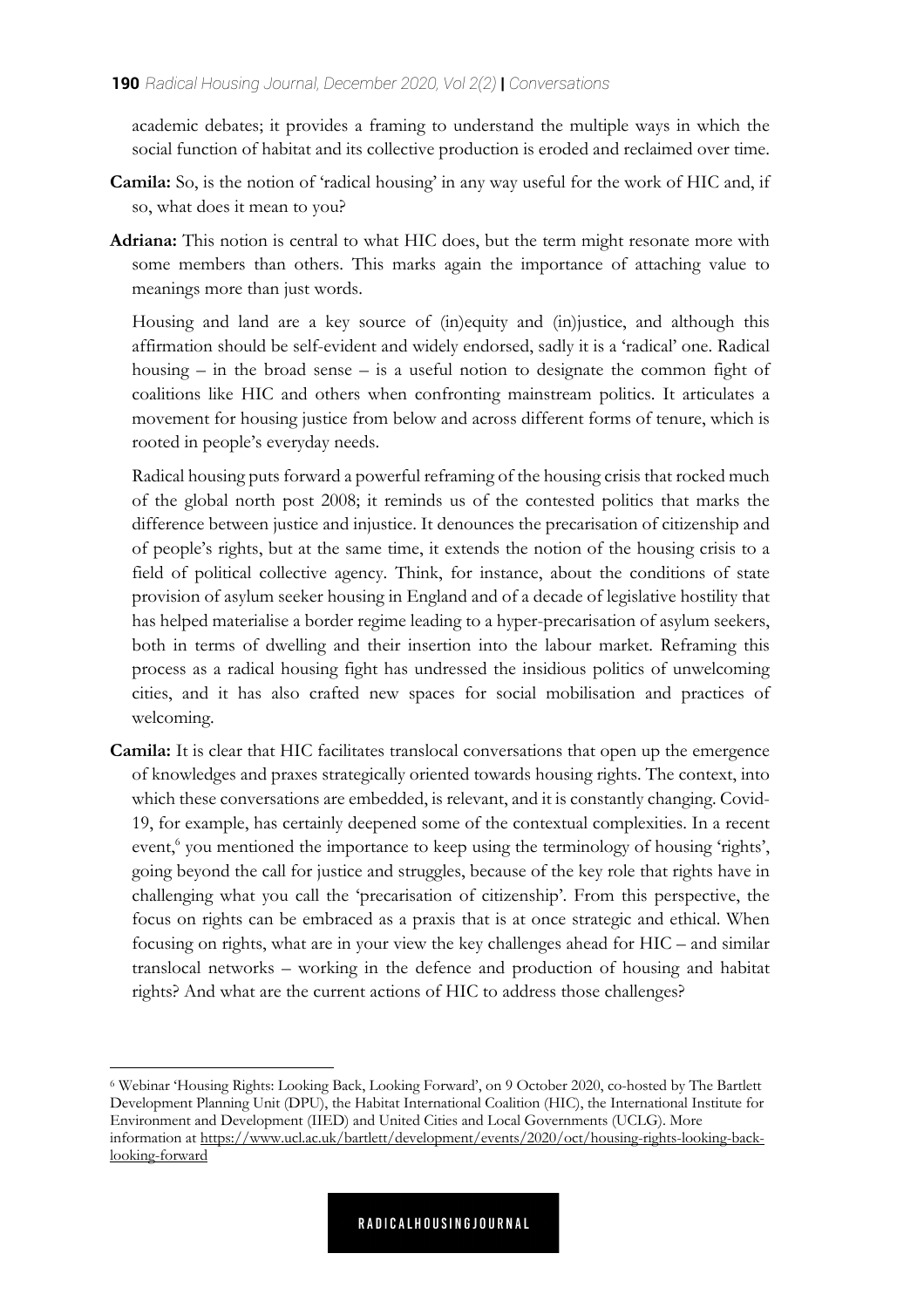academic debates; it provides a framing to understand the multiple ways in which the social function of habitat and its collective production is eroded and reclaimed over time.

- **Camila:** So, is the notion of 'radical housing' in any way useful for the work of HIC and, if so, what does it mean to you?
- **Adriana:** This notion is central to what HIC does, but the term might resonate more with some members than others. This marks again the importance of attaching value to meanings more than just words.

Housing and land are a key source of (in)equity and (in)justice, and although this affirmation should be self-evident and widely endorsed, sadly it is a 'radical' one. Radical housing  $-$  in the broad sense  $-$  is a useful notion to designate the common fight of coalitions like HIC and others when confronting mainstream politics. It articulates a movement for housing justice from below and across different forms of tenure, which is rooted in people's everyday needs.

Radical housing puts forward a powerful reframing of the housing crisis that rocked much of the global north post 2008; it reminds us of the contested politics that marks the difference between justice and injustice. It denounces the precarisation of citizenship and of people's rights, but at the same time, it extends the notion of the housing crisis to a field of political collective agency. Think, for instance, about the conditions of state provision of asylum seeker housing in England and of a decade of legislative hostility that has helped materialise a border regime leading to a hyper-precarisation of asylum seekers, both in terms of dwelling and their insertion into the labour market. Reframing this process as a radical housing fight has undressed the insidious politics of unwelcoming cities, and it has also crafted new spaces for social mobilisation and practices of welcoming.

**Camila:** It is clear that HIC facilitates translocal conversations that open up the emergence of knowledges and praxes strategically oriented towards housing rights. The context, into which these conversations are embedded, is relevant, and it is constantly changing. Covid-19, for example, has certainly deepened some of the contextual complexities. In a recent event,<sup>6</sup> you mentioned the importance to keep using the terminology of housing 'rights', going beyond the call for justice and struggles, because of the key role that rights have in challenging what you call the 'precarisation of citizenship'. From this perspective, the focus on rights can be embraced as a praxis that is at once strategic and ethical. When focusing on rights, what are in your view the key challenges ahead for HIC – and similar translocal networks – working in the defence and production of housing and habitat rights? And what are the current actions of HIC to address those challenges?

<sup>6</sup> Webinar 'Housing Rights: Looking Back, Looking Forward', on 9 October 2020, co-hosted by The Bartlett Development Planning Unit (DPU), the Habitat International Coalition (HIC), the International Institute for Environment and Development (IIED) and United Cities and Local Governments (UCLG). More information at https://www.ucl.ac.uk/bartlett/development/events/2020/oct/housing-rights-looking-backlooking-forward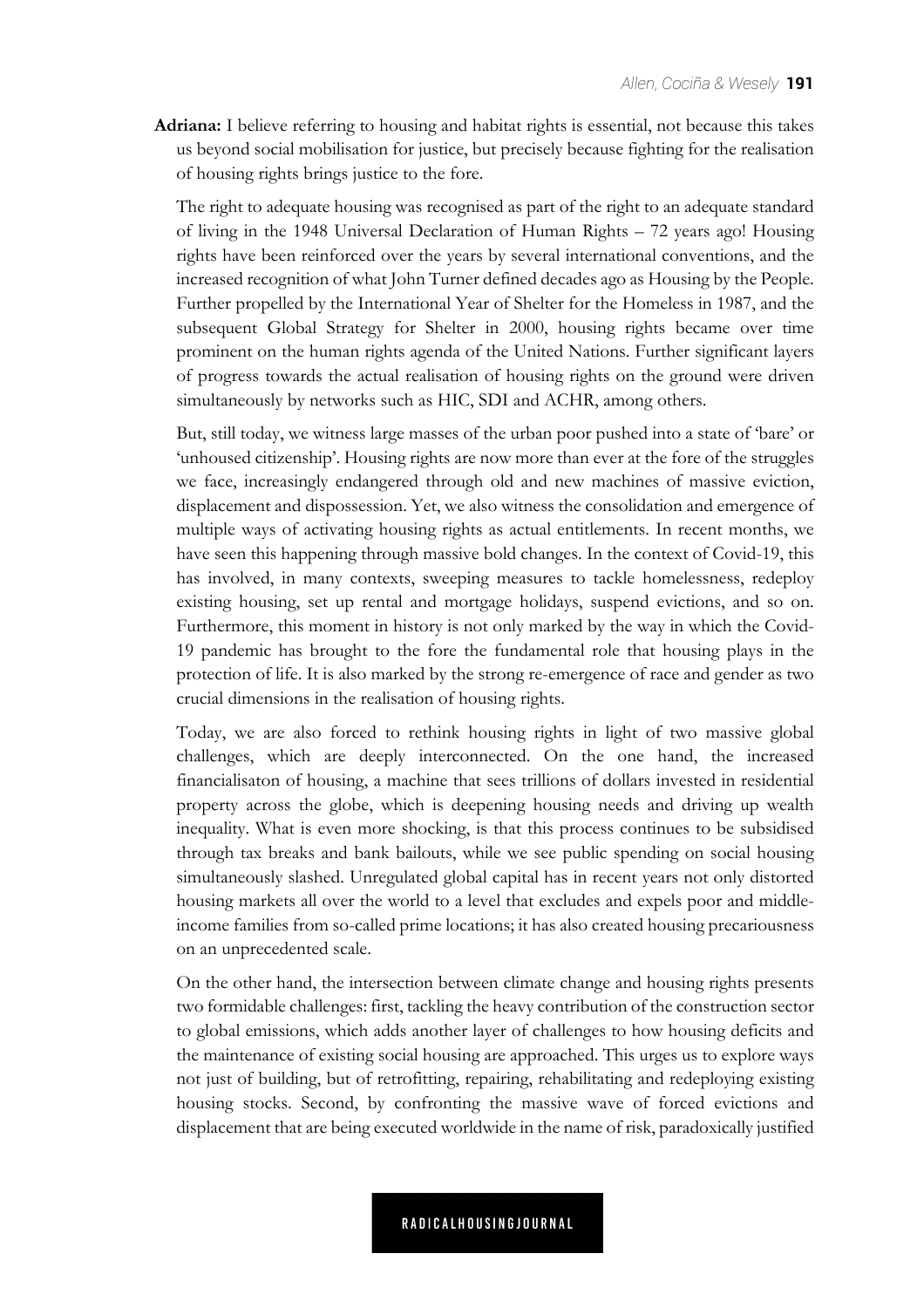**Adriana:** I believe referring to housing and habitat rights is essential, not because this takes us beyond social mobilisation for justice, but precisely because fighting for the realisation of housing rights brings justice to the fore.

The right to adequate housing was recognised as part of the right to an adequate standard of living in the 1948 Universal Declaration of Human Rights – 72 years ago! Housing rights have been reinforced over the years by several international conventions, and the increased recognition of what John Turner defined decades ago as Housing by the People. Further propelled by the International Year of Shelter for the Homeless in 1987, and the subsequent Global Strategy for Shelter in 2000, housing rights became over time prominent on the human rights agenda of the United Nations. Further significant layers of progress towards the actual realisation of housing rights on the ground were driven simultaneously by networks such as HIC, SDI and ACHR, among others.

But, still today, we witness large masses of the urban poor pushed into a state of 'bare' or 'unhoused citizenship'. Housing rights are now more than ever at the fore of the struggles we face, increasingly endangered through old and new machines of massive eviction, displacement and dispossession. Yet, we also witness the consolidation and emergence of multiple ways of activating housing rights as actual entitlements. In recent months, we have seen this happening through massive bold changes. In the context of Covid-19, this has involved, in many contexts, sweeping measures to tackle homelessness, redeploy existing housing, set up rental and mortgage holidays, suspend evictions, and so on. Furthermore, this moment in history is not only marked by the way in which the Covid-19 pandemic has brought to the fore the fundamental role that housing plays in the protection of life. It is also marked by the strong re-emergence of race and gender as two crucial dimensions in the realisation of housing rights.

Today, we are also forced to rethink housing rights in light of two massive global challenges, which are deeply interconnected. On the one hand, the increased financialisaton of housing, a machine that sees trillions of dollars invested in residential property across the globe, which is deepening housing needs and driving up wealth inequality. What is even more shocking, is that this process continues to be subsidised through tax breaks and bank bailouts, while we see public spending on social housing simultaneously slashed. Unregulated global capital has in recent years not only distorted housing markets all over the world to a level that excludes and expels poor and middleincome families from so-called prime locations; it has also created housing precariousness on an unprecedented scale.

On the other hand, the intersection between climate change and housing rights presents two formidable challenges: first, tackling the heavy contribution of the construction sector to global emissions, which adds another layer of challenges to how housing deficits and the maintenance of existing social housing are approached. This urges us to explore ways not just of building, but of retrofitting, repairing, rehabilitating and redeploying existing housing stocks. Second, by confronting the massive wave of forced evictions and displacement that are being executed worldwide in the name of risk, paradoxically justified